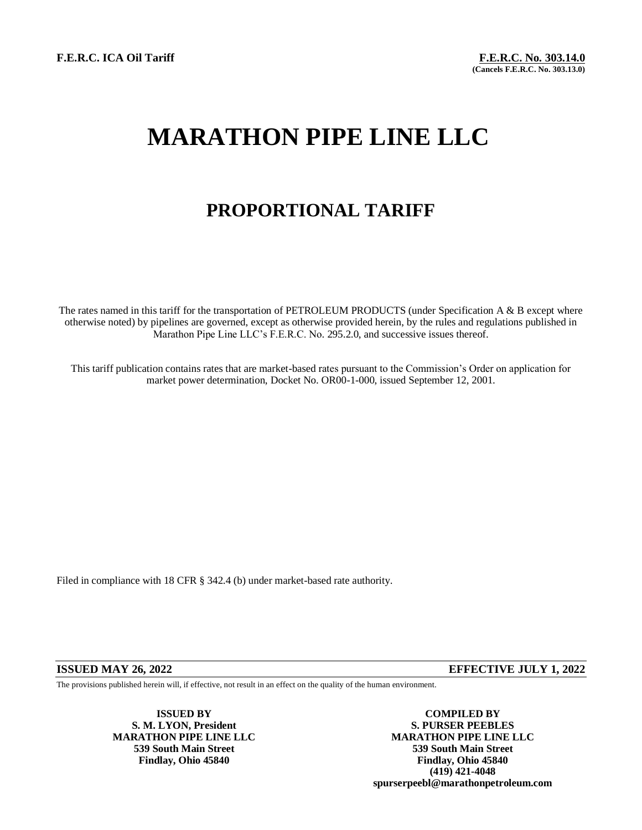**F.E.R.C. ICA Oil Tariff F.E.R.C. No. 303.14.0**

## **MARATHON PIPE LINE LLC**

## **PROPORTIONAL TARIFF**

The rates named in this tariff for the transportation of PETROLEUM PRODUCTS (under Specification A & B except where otherwise noted) by pipelines are governed, except as otherwise provided herein, by the rules and regulations published in Marathon Pipe Line LLC's F.E.R.C. No. 295.2.0, and successive issues thereof.

This tariff publication contains rates that are market-based rates pursuant to the Commission's Order on application for market power determination, Docket No. OR00-1-000, issued September 12, 2001.

Filed in compliance with 18 CFR § 342.4 (b) under market-based rate authority.

## **ISSUED MAY 26, 2022 EFFECTIVE JULY 1, 2022**

The provisions published herein will, if effective, not result in an effect on the quality of the human environment.

**S. M. LYON, President S. PURSER PEEBLES**

**ISSUED BY COMPILED BY MARATHON PIPE LINE LLC 539 South Main Street 539 South Main Street Findlay, Ohio 45840 Findlay, Ohio 45840 (419) 421-4048 spurserpeebl@marathonpetroleum.com**